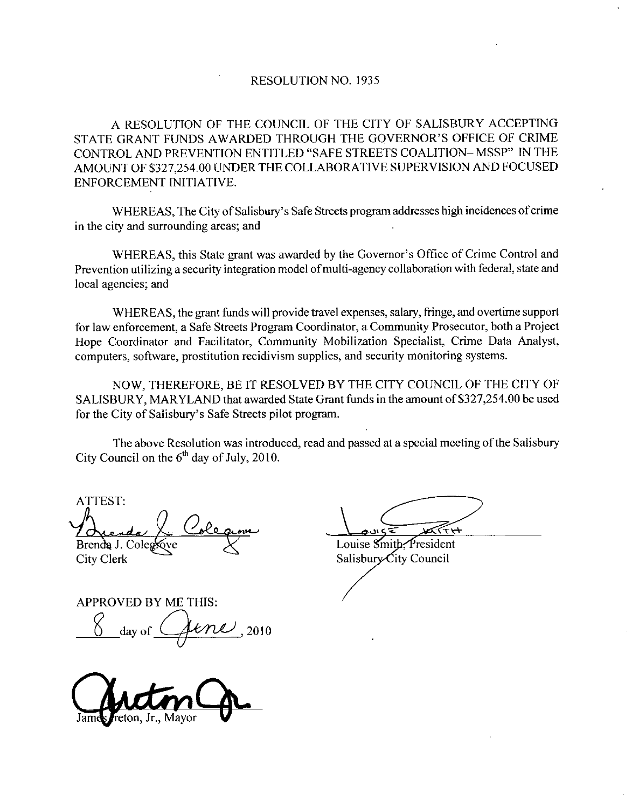## RESOLUTION NO. 1935

A RESOLUTION OF THE COUNCIL OF THE CITY OF SALISBURY ACCEPTING RESOLUTION NO. 1935<br>A RESOLUTION OF THE COUNCIL OF THE CITY OF SALISBURY ACCEPTING<br>STATE GRANT FUNDS AWARDED THROUGH THE GOVERNOR'S OFFICE OF CRIME<br>CONTROL AND PREVENTION ENTITLED "SAFE STREETS COALITION– MSSP" IN THE<br>AMOU STATE GRANT FUNDS AWARDED THROUGH THE GOVERNOR'S OFFICE OF CRIME<br>CONTROL AND PREVENTION ENTITLED "SAFE STREETS COALITION–MSSP" IN THE<br>AMOUNT OF \$327,254.00 UNDER THE COLLABORATIVE SUPERVISION AND FOCUSED<br>ENFORCEMENT INITIA ENFORCEMENT INITIATIVE

WHEREAS, The City of Salisbury's Safe Streets program addresses high incidences of crime in the city and surrounding areas; and

ENFORCEMENT INITIATIVE.<br>
WHEREAS, The City of Salisbury's Safe Streets program addresses high incidences of crime<br>
in the city and surrounding areas; and<br>
WHEREAS, this State grant was awarded by the Governor's Office of C local agencies; and

WHEREAS, the grant funds will provide travel expenses, salary, fringe, and overtime support for law enforcement, a Safe Streets Program Coordinator, a Community Prosecutor, both a Project Hope Coordinator and Facilitator, Community Mobilization Specialist, Crime Data Analyst, computers, software, prostitution recidivism supplies, and security monitoring systems.

NOW, THEREFORE, BE IT RESOLVED BY THE CITY COUNCIL OF THE CITY OF NOW, THEREFORE, BE IT RESOLVED BY THE CITY COUNCIL OF THE CITY OF<br>SALISBURY, MARYLAND that awarded State Grant funds in the amount of \$327,254.00 be used<br>for the City of Salisbury's Safe Streets pilot program Hope Coordinator and H<br>computers, software, pros<br>NOW, THEREFC<br>SALISBURY, MARYLA<br>for the City of Salisbury's<br>The above Resolut for the City of Salisbury's Safe Streets pilot program.

The above Resolution was introduced, read and passed at a special meeting of the Salisbury City Council on the  $6<sup>th</sup>$  day of July, 2010.

ATTEST <u>iov</u>e Brenda J. Coleg

City Clerk

Louise Smith, President

Salisbury City Council

APPROVED BY ME THIS Reado Lolegrove<br>
PROVED BY ME THIS:<br>
Jay of Jene 2010

James reton, Jr., Mayor